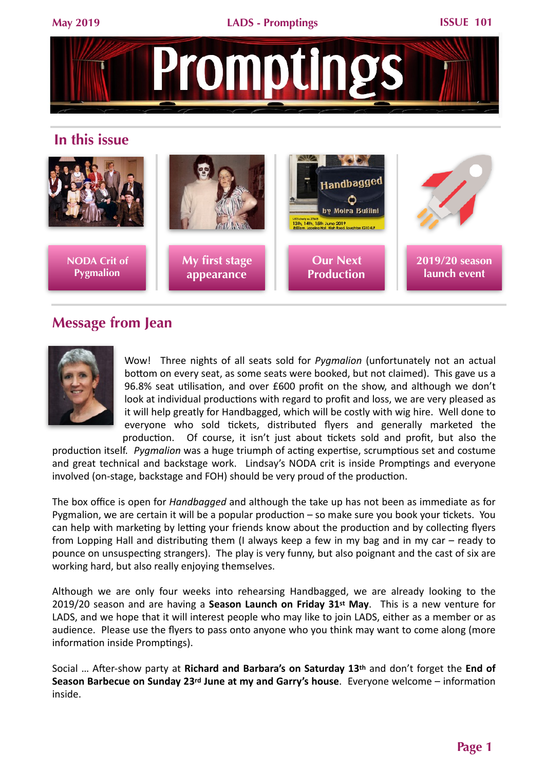

## **In this issue**



# **Message from Jean**



Wow! Three nights of all seats sold for *Pygmalion* (unfortunately not an actual bottom on every seat, as some seats were booked, but not claimed). This gave us a 96.8% seat utilisation, and over  $£600$  profit on the show, and although we don't look at individual productions with regard to profit and loss, we are very pleased as it will help greatly for Handbagged, which will be costly with wig hire. Well done to everyone who sold tickets, distributed flyers and generally marketed the production. Of course, it isn't just about tickets sold and profit, but also the

production itself. *Pygmalion* was a huge triumph of acting expertise, scrumptious set and costume and great technical and backstage work. Lindsay's NODA crit is inside Promptings and everyone involved (on-stage, backstage and FOH) should be very proud of the production.

The box office is open for *Handbagged* and although the take up has not been as immediate as for Pygmalion, we are certain it will be a popular production  $-$  so make sure you book your tickets. You can help with marketing by letting your friends know about the production and by collecting flyers from Lopping Hall and distributing them (I always keep a few in my bag and in my car – ready to pounce on unsuspecting strangers). The play is very funny, but also poignant and the cast of six are working hard, but also really enjoying themselves.

Although we are only four weeks into rehearsing Handbagged, we are already looking to the 2019/20 season and are having a Season Launch on Friday 31<sup>st</sup> May. This is a new venture for LADS, and we hope that it will interest people who may like to join LADS, either as a member or as audience. Please use the flyers to pass onto anyone who you think may want to come along (more information inside Promptings).

Social ... After-show party at Richard and Barbara's on Saturday 13<sup>th</sup> and don't forget the End of **Season Barbecue on Sunday 23rd June at my and Garry's house**. Everyone welcome – information inside.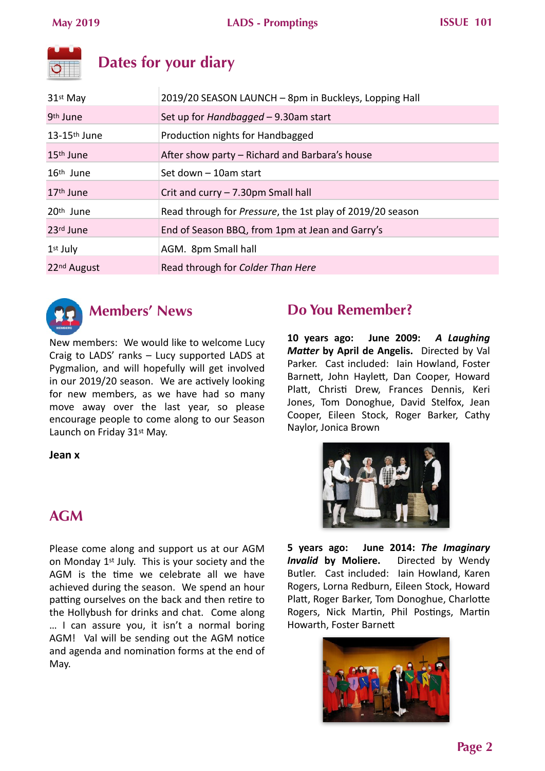# **Dates for your diary**

| 31 <sup>st</sup> May       | 2019/20 SEASON LAUNCH - 8pm in Buckleys, Lopping Hall             |
|----------------------------|-------------------------------------------------------------------|
| 9 <sup>th</sup> June       | Set up for <i>Handbagged</i> - 9.30am start                       |
| $13-15$ <sup>th</sup> June | Production nights for Handbagged                                  |
| 15 <sup>th</sup> June      | After show party – Richard and Barbara's house                    |
| $16th$ June                | Set down – 10am start                                             |
| $17th$ June                | Crit and curry - 7.30pm Small hall                                |
| $20th$ June                | Read through for <i>Pressure</i> , the 1st play of 2019/20 season |
| 23rd June                  | End of Season BBQ, from 1pm at Jean and Garry's                   |
| $1st$ July                 | AGM. 8pm Small hall                                               |
| 22 <sup>nd</sup> August    | Read through for Colder Than Here                                 |
|                            |                                                                   |



# **Members' News**

New members: We would like to welcome Lucy Craig to  $LADS'$  ranks  $-$  Lucy supported  $LADS$  at Pygmalion, and will hopefully will get involved in our 2019/20 season. We are actively looking for new members, as we have had so many move away over the last year, so please encourage people to come along to our Season Launch on Friday 31<sup>st</sup> May.

## **Jean x**

# **AGM**

Please come along and support us at our AGM on Monday  $1<sup>st</sup>$  July. This is your society and the AGM is the time we celebrate all we have achieved during the season. We spend an hour patting ourselves on the back and then retire to the Hollybush for drinks and chat. Come along ... I can assure you, it isn't a normal boring AGM! Val will be sending out the AGM notice and agenda and nomination forms at the end of May. 

# **Do You Remember?**

**10 years ago: June 2009:**  *A Laughing*  **Matter by April de Angelis.** Directed by Val Parker. Cast included: Iain Howland, Foster Barnett, John Haylett, Dan Cooper, Howard Platt, Christi Drew, Frances Dennis, Keri Jones, Tom Donoghue, David Stelfox, Jean Cooper, Eileen Stock, Roger Barker, Cathy Naylor, Jonica Brown



**5** years ago: June 2014: The Imaginary **Invalid by Moliere.** Directed by Wendy Butler. Cast included: Iain Howland, Karen Rogers, Lorna Redburn, Eileen Stock, Howard Platt, Roger Barker, Tom Donoghue, Charlotte Rogers, Nick Martin, Phil Postings, Martin Howarth, Foster Barnett

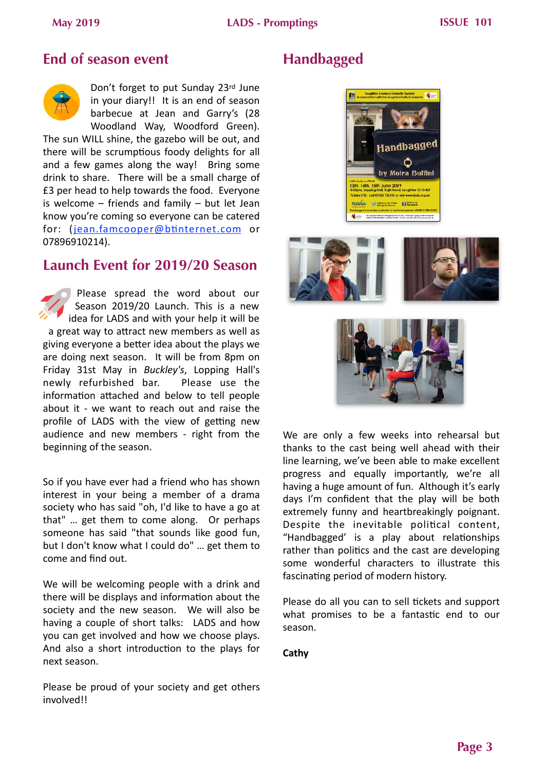# **End of season event**



Don't forget to put Sunday 23rd June in your diary!! It is an end of season barbecue at Jean and Garry's (28 Woodland Way, Woodford Green).

The sun WILL shine, the gazebo will be out, and there will be scrumptious foody delights for all and a few games along the way! Bring some drink to share. There will be a small charge of £3 per head to help towards the food. Everyone is welcome  $-$  friends and family  $-$  but let Jean know you're coming so everyone can be catered for: (jean.famcooper@btinternet.com or 07896910214). 

## **Launch Event for 2019/20 Season**

Please spread the word about our Season 2019/20 Launch. This is a new idea for LADS and with your help it will be a great way to attract new members as well as giving everyone a better idea about the plays we are doing next season. It will be from 8pm on Friday 31st May in *Buckley's*, Lopping Hall's newly refurbished bar. Please use the information attached and below to tell people about it - we want to reach out and raise the profile of LADS with the view of getting new audience and new members - right from the beginning of the season.

So if you have ever had a friend who has shown interest in your being a member of a drama society who has said "oh, I'd like to have a go at that" ... get them to come along. Or perhaps someone has said "that sounds like good fun, but I don't know what I could do" ... get them to come and find out.

We will be welcoming people with a drink and there will be displays and information about the society and the new season. We will also be having a couple of short talks: LADS and how you can get involved and how we choose plays. And also a short introduction to the plays for next season. 

Please be proud of your society and get others involved!! 

# **Handbagged**







We are only a few weeks into rehearsal but thanks to the cast being well ahead with their line learning, we've been able to make excellent progress and equally importantly, we're all having a huge amount of fun. Although it's early days I'm confident that the play will be both extremely funny and heartbreakingly poignant. Despite the inevitable political content, "Handbagged' is a play about relationships rather than politics and the cast are developing some wonderful characters to illustrate this fascinating period of modern history.

Please do all you can to sell tickets and support what promises to be a fantastic end to our season. 

**Cathy**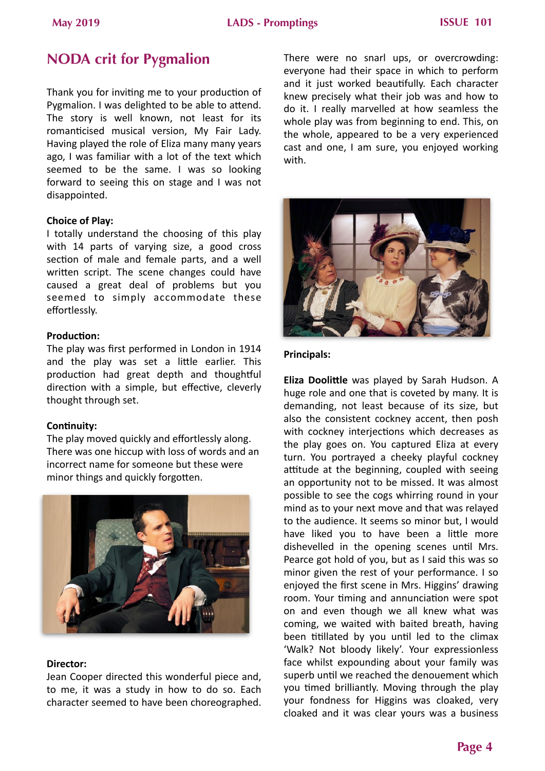# **NODA crit for Pygmalion**

Thank you for inviting me to your production of Pygmalion. I was delighted to be able to attend. The story is well known, not least for its romanticised musical version, My Fair Lady. Having played the role of Eliza many many years ago. I was familiar with a lot of the text which seemed to be the same. I was so looking forward to seeing this on stage and I was not disappointed. 

### **Choice of Play:**

I totally understand the choosing of this play with 14 parts of varying size, a good cross section of male and female parts, and a well written script. The scene changes could have caused a great deal of problems but you seemed to simply accommodate these effortlessly. 

### **Production:**

The play was first performed in London in 1914 and the play was set a little earlier. This production had great depth and thoughtful direction with a simple, but effective, cleverly thought through set.

## **Continuity:**

The play moved quickly and effortlessly along. There was one hiccup with loss of words and an incorrect name for someone but these were minor things and quickly forgotten.



#### Director:

Jean Cooper directed this wonderful piece and, to me, it was a study in how to do so. Each character seemed to have been choreographed. There were no snarl ups, or overcrowding: everyone had their space in which to perform and it just worked beautifully. Each character knew precisely what their job was and how to do it. I really marvelled at how seamless the whole play was from beginning to end. This, on the whole, appeared to be a very experienced cast and one, I am sure, you enjoyed working with. 



### **Principals:**

**Eliza Doolittle** was played by Sarah Hudson. A huge role and one that is coveted by many. It is demanding, not least because of its size, but also the consistent cockney accent, then posh with cockney interjections which decreases as the play goes on. You captured Eliza at every turn. You portrayed a cheeky playful cockney attitude at the beginning, coupled with seeing an opportunity not to be missed. It was almost possible to see the cogs whirring round in your mind as to your next move and that was relayed to the audience. It seems so minor but, I would have liked you to have been a little more dishevelled in the opening scenes until Mrs. Pearce got hold of you, but as I said this was so minor given the rest of your performance. I so enjoyed the first scene in Mrs. Higgins' drawing room. Your timing and annunciation were spot on and even though we all knew what was coming, we waited with baited breath, having been titillated by you until led to the climax 'Walk? Not bloody likely'. Your expressionless face whilst expounding about your family was superb until we reached the denouement which you timed brilliantly. Moving through the play your fondness for Higgins was cloaked, very cloaked and it was clear yours was a business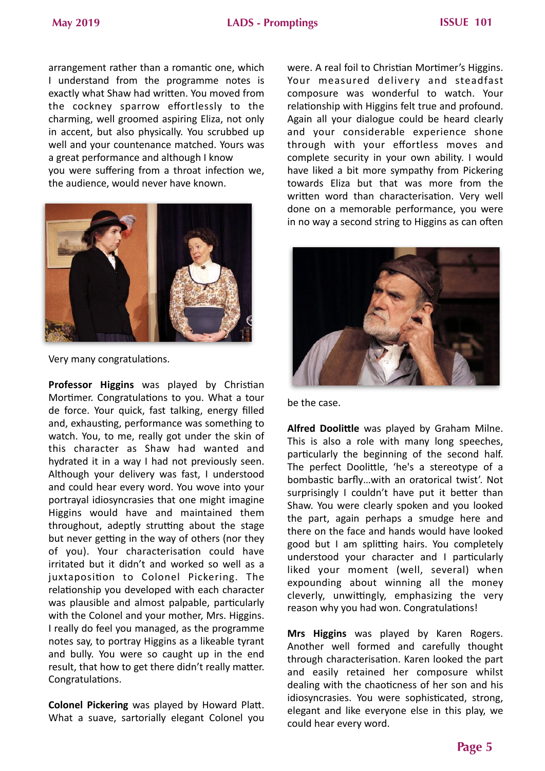## **May 2019 LADS - Promptings ISSUE 101**

arrangement rather than a romantic one, which I understand from the programme notes is exactly what Shaw had written. You moved from the cockney sparrow effortlessly to the charming, well groomed aspiring Eliza, not only in accent, but also physically. You scrubbed up well and your countenance matched. Yours was a great performance and although I know

you were suffering from a throat infection we, the audience, would never have known.



Very many congratulations.

**Professor Higgins** was played by Christian Mortimer. Congratulations to you. What a tour de force. Your quick, fast talking, energy filled and, exhausting, performance was something to watch. You, to me, really got under the skin of this character as Shaw had wanted and hydrated it in a way I had not previously seen. Although your delivery was fast, I understood and could hear every word. You wove into your portrayal idiosyncrasies that one might imagine Higgins would have and maintained them throughout, adeptly strutting about the stage but never getting in the way of others (nor they of you). Your characterisation could have irritated but it didn't and worked so well as a juxtaposition to Colonel Pickering. The relationship you developed with each character was plausible and almost palpable, particularly with the Colonel and your mother, Mrs. Higgins. I really do feel you managed, as the programme notes say, to portray Higgins as a likeable tyrant and bully. You were so caught up in the end result, that how to get there didn't really matter. Congratulations.

**Colonel Pickering** was played by Howard Platt. What a suave, sartorially elegant Colonel you were. A real foil to Christian Mortimer's Higgins. Your measured delivery and steadfast composure was wonderful to watch. Your relationship with Higgins felt true and profound. Again all your dialogue could be heard clearly and your considerable experience shone through with your effortless moves and complete security in your own ability. I would have liked a bit more sympathy from Pickering towards Eliza but that was more from the written word than characterisation. Very well done on a memorable performance, you were in no way a second string to Higgins as can often



be the case.

**Alfred Doolittle** was played by Graham Milne. This is also a role with many long speeches, particularly the beginning of the second half. The perfect Doolittle, 'he's a stereotype of a bombastic barfly...with an oratorical twist'. Not surprisingly I couldn't have put it better than Shaw. You were clearly spoken and you looked the part, again perhaps a smudge here and there on the face and hands would have looked good but I am splitting hairs. You completely understood your character and  $I$  particularly liked your moment (well, several) when expounding about winning all the money cleverly, unwittingly, emphasizing the very reason why you had won. Congratulations!

**Mrs Higgins** was played by Karen Rogers. Another well formed and carefully thought through characterisation. Karen looked the part and easily retained her composure whilst dealing with the chaoticness of her son and his idiosyncrasies. You were sophisticated, strong, elegant and like everyone else in this play, we could hear every word.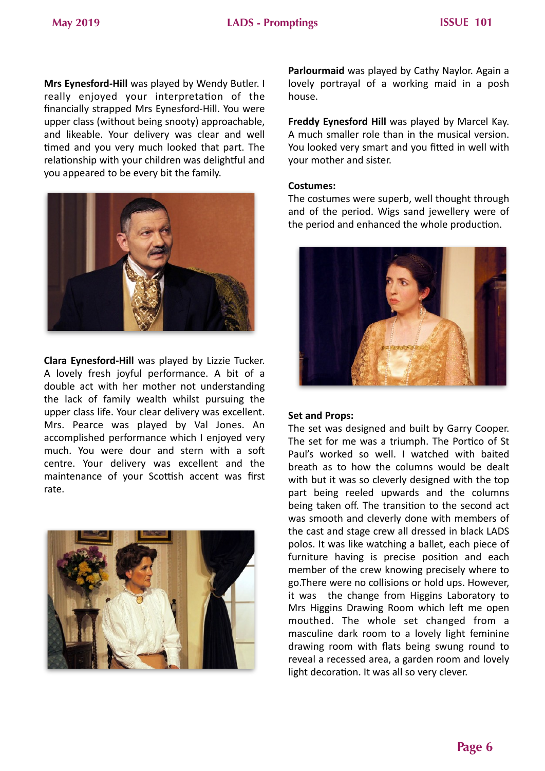**Mrs Eynesford-Hill** was played by Wendy Butler. I really enjoyed your interpretation of the financially strapped Mrs Eynesford-Hill. You were upper class (without being snooty) approachable, and likeable. Your delivery was clear and well timed and you very much looked that part. The relationship with your children was delightful and you appeared to be every bit the family.



**Clara Eynesford-Hill** was played by Lizzie Tucker. A lovely fresh joyful performance. A bit of a double act with her mother not understanding the lack of family wealth whilst pursuing the upper class life. Your clear delivery was excellent. Mrs. Pearce was played by Val Jones. An accomplished performance which I enjoyed very much. You were dour and stern with a soft centre. Your delivery was excellent and the maintenance of your Scottish accent was first rate. 



**Parlourmaid** was played by Cathy Naylor. Again a lovely portrayal of a working maid in a posh house. 

**Freddy Eynesford Hill** was played by Marcel Kay. A much smaller role than in the musical version. You looked very smart and you fitted in well with your mother and sister.

#### **Costumes:**

The costumes were superb, well thought through and of the period. Wigs sand jewellery were of the period and enhanced the whole production.



#### **Set and Props:**

The set was designed and built by Garry Cooper. The set for me was a triumph. The Portico of St Paul's worked so well. I watched with baited breath as to how the columns would be dealt with but it was so cleverly designed with the top part being reeled upwards and the columns being taken off. The transition to the second act was smooth and cleverly done with members of the cast and stage crew all dressed in black LADS polos. It was like watching a ballet, each piece of furniture having is precise position and each member of the crew knowing precisely where to go. There were no collisions or hold ups. However, it was the change from Higgins Laboratory to Mrs Higgins Drawing Room which left me open mouthed. The whole set changed from a masculine dark room to a lovely light feminine drawing room with flats being swung round to reveal a recessed area, a garden room and lovely light decoration. It was all so very clever.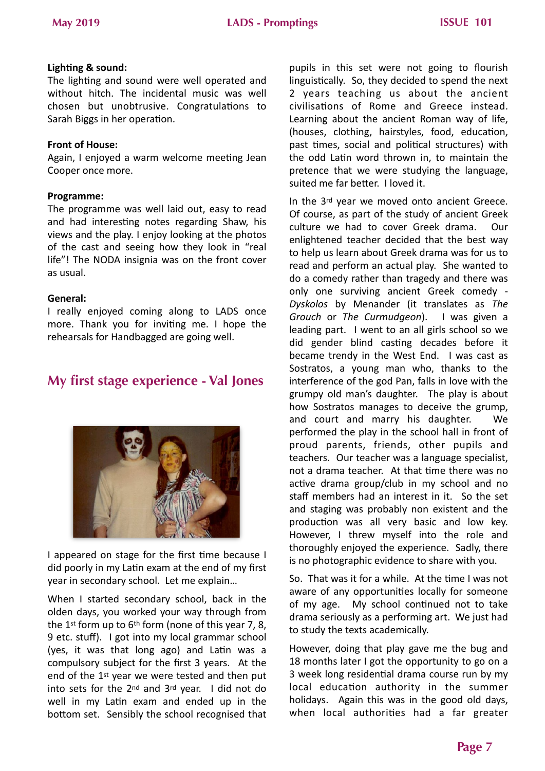### **Lighting & sound:**

The lighting and sound were well operated and without hitch. The incidental music was well chosen but unobtrusive. Congratulations to Sarah Biggs in her operation.

### **Front of House:**

Again, I enjoyed a warm welcome meeting Jean Cooper once more.

### **Programme:**

The programme was well laid out, easy to read and had interesting notes regarding Shaw, his views and the play. I enjoy looking at the photos of the cast and seeing how they look in "real life"! The NODA insignia was on the front cover as usual. 

#### General:

I really enjoyed coming along to LADS once more. Thank you for inviting me. I hope the rehearsals for Handbagged are going well.

## **My first stage experience - Val Jones**



I appeared on stage for the first time because I did poorly in my Latin exam at the end of my first year in secondary school. Let me explain...

When I started secondary school, back in the olden days, you worked your way through from the 1<sup>st</sup> form up to  $6<sup>th</sup>$  form (none of this year 7, 8, 9 etc. stuff). I got into my local grammar school (yes, it was that long ago) and Latin was a compulsory subject for the first 3 years. At the end of the  $1<sup>st</sup>$  year we were tested and then put into sets for the  $2^{nd}$  and  $3^{rd}$  year. I did not do well in my Latin exam and ended up in the bottom set. Sensibly the school recognised that pupils in this set were not going to flourish linguistically. So, they decided to spend the next 2 years teaching us about the ancient civilisations of Rome and Greece instead. Learning about the ancient Roman way of life, (houses, clothing, hairstyles, food, education, past times, social and political structures) with the odd Latin word thrown in, to maintain the pretence that we were studying the language, suited me far better. I loved it.

In the 3rd year we moved onto ancient Greece. Of course, as part of the study of ancient Greek culture we had to cover Greek drama. Our enlightened teacher decided that the best way to help us learn about Greek drama was for us to read and perform an actual play. She wanted to do a comedy rather than tragedy and there was only one surviving ancient Greek comedy -Dyskolos by Menander (it translates as *The Grouch* or *The Curmudgeon*). I was given a leading part. I went to an all girls school so we did gender blind casting decades before it became trendy in the West End. I was cast as Sostratos, a young man who, thanks to the interference of the god Pan, falls in love with the grumpy old man's daughter. The play is about how Sostratos manages to deceive the grump. and court and marry his daughter. We performed the play in the school hall in front of proud parents, friends, other pupils and teachers. Our teacher was a language specialist, not a drama teacher. At that time there was no active drama group/club in my school and no staff members had an interest in it. So the set and staging was probably non existent and the production was all very basic and low key. However, I threw myself into the role and thoroughly enjoyed the experience. Sadly, there is no photographic evidence to share with you.

So. That was it for a while. At the time I was not aware of any opportunities locally for someone of my age. My school continued not to take drama seriously as a performing art. We just had to study the texts academically.

However, doing that play gave me the bug and 18 months later I got the opportunity to go on a 3 week long residential drama course run by my local education authority in the summer holidays. Again this was in the good old days, when local authorities had a far greater